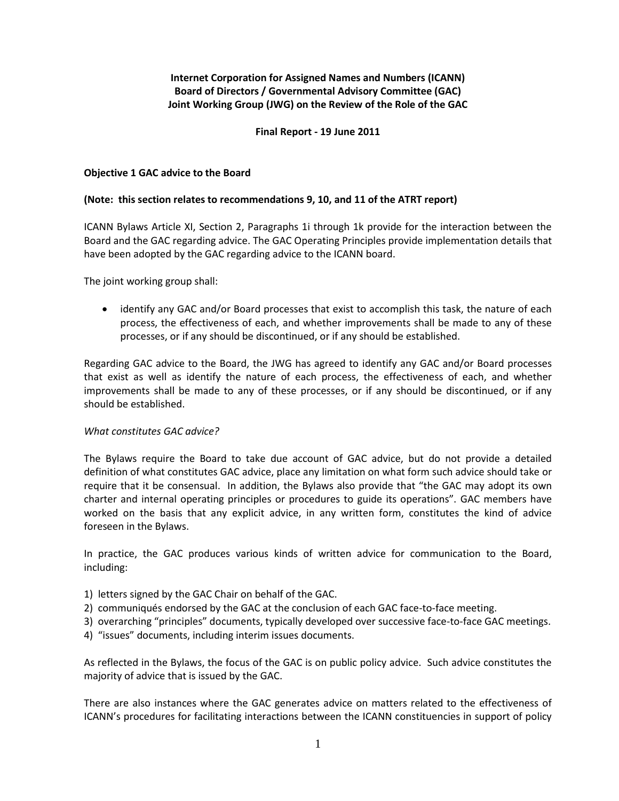# **Internet Corporation for Assigned Names and Numbers (ICANN) Board of Directors / Governmental Advisory Committee (GAC) Joint Working Group (JWG) on the Review of the Role of the GAC**

## **Final Report - 19 June 2011**

### **Objective 1 GAC advice to the Board**

### **(Note: this section relates to recommendations 9, 10, and 11 of the ATRT report)**

ICANN Bylaws Article XI, Section 2, Paragraphs 1i through 1k provide for the interaction between the Board and the GAC regarding advice. The GAC Operating Principles provide implementation details that have been adopted by the GAC regarding advice to the ICANN board.

The joint working group shall:

 identify any GAC and/or Board processes that exist to accomplish this task, the nature of each process, the effectiveness of each, and whether improvements shall be made to any of these processes, or if any should be discontinued, or if any should be established.

Regarding GAC advice to the Board, the JWG has agreed to identify any GAC and/or Board processes that exist as well as identify the nature of each process, the effectiveness of each, and whether improvements shall be made to any of these processes, or if any should be discontinued, or if any should be established.

### *What constitutes GAC advice?*

The Bylaws require the Board to take due account of GAC advice, but do not provide a detailed definition of what constitutes GAC advice, place any limitation on what form such advice should take or require that it be consensual. In addition, the Bylaws also provide that "the GAC may adopt its own charter and internal operating principles or procedures to guide its operations". GAC members have worked on the basis that any explicit advice, in any written form, constitutes the kind of advice foreseen in the Bylaws.

In practice, the GAC produces various kinds of written advice for communication to the Board, including:

- 1) letters signed by the GAC Chair on behalf of the GAC.
- 2) communiqués endorsed by the GAC at the conclusion of each GAC face-to-face meeting.
- 3) overarching "principles" documents, typically developed over successive face-to-face GAC meetings.
- 4) "issues" documents, including interim issues documents.

As reflected in the Bylaws, the focus of the GAC is on public policy advice. Such advice constitutes the majority of advice that is issued by the GAC.

There are also instances where the GAC generates advice on matters related to the effectiveness of ICANN's procedures for facilitating interactions between the ICANN constituencies in support of policy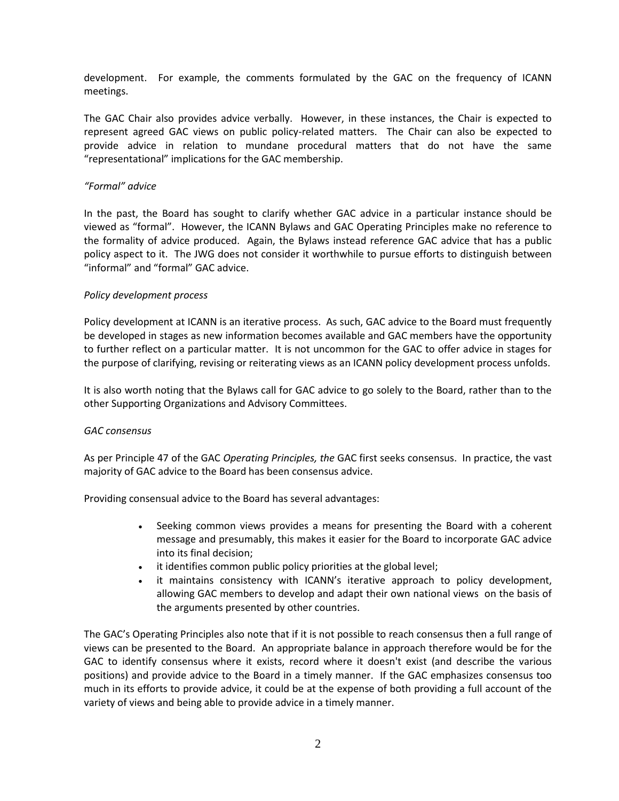development. For example, the comments formulated by the GAC on the frequency of ICANN meetings.

The GAC Chair also provides advice verbally. However, in these instances, the Chair is expected to represent agreed GAC views on public policy-related matters. The Chair can also be expected to provide advice in relation to mundane procedural matters that do not have the same "representational" implications for the GAC membership.

### *"Formal" advice*

In the past, the Board has sought to clarify whether GAC advice in a particular instance should be viewed as "formal". However, the ICANN Bylaws and GAC Operating Principles make no reference to the formality of advice produced. Again, the Bylaws instead reference GAC advice that has a public policy aspect to it. The JWG does not consider it worthwhile to pursue efforts to distinguish between "informal" and "formal" GAC advice.

### *Policy development process*

Policy development at ICANN is an iterative process. As such, GAC advice to the Board must frequently be developed in stages as new information becomes available and GAC members have the opportunity to further reflect on a particular matter. It is not uncommon for the GAC to offer advice in stages for the purpose of clarifying, revising or reiterating views as an ICANN policy development process unfolds.

It is also worth noting that the Bylaws call for GAC advice to go solely to the Board, rather than to the other Supporting Organizations and Advisory Committees.

## *GAC consensus*

As per Principle 47 of the GAC *Operating Principles, the* GAC first seeks consensus. In practice, the vast majority of GAC advice to the Board has been consensus advice.

Providing consensual advice to the Board has several advantages:

- Seeking common views provides a means for presenting the Board with a coherent message and presumably, this makes it easier for the Board to incorporate GAC advice into its final decision;
- it identifies common public policy priorities at the global level;
- it maintains consistency with ICANN's iterative approach to policy development, allowing GAC members to develop and adapt their own national views on the basis of the arguments presented by other countries.

The GAC's Operating Principles also note that if it is not possible to reach consensus then a full range of views can be presented to the Board. An appropriate balance in approach therefore would be for the GAC to identify consensus where it exists, record where it doesn't exist (and describe the various positions) and provide advice to the Board in a timely manner. If the GAC emphasizes consensus too much in its efforts to provide advice, it could be at the expense of both providing a full account of the variety of views and being able to provide advice in a timely manner.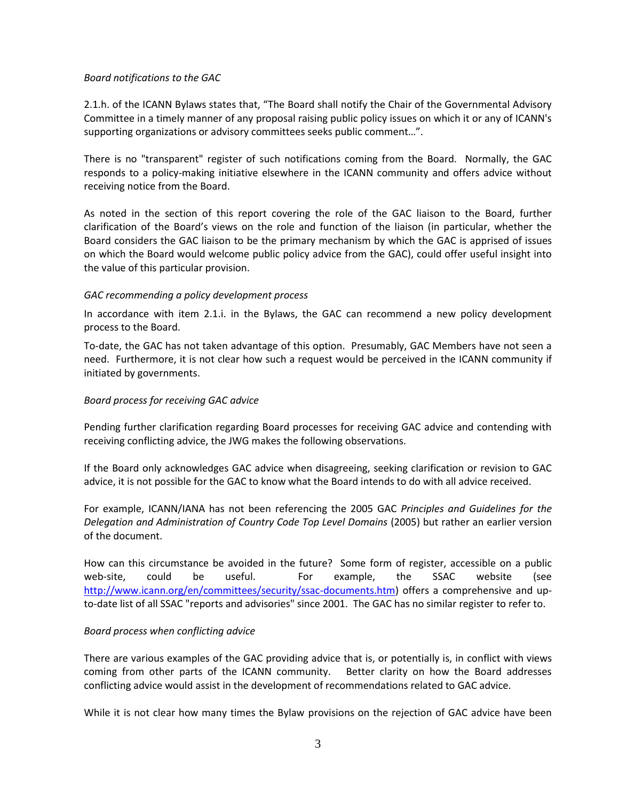### *Board notifications to the GAC*

2.1.h. of the ICANN Bylaws states that, "The Board shall notify the Chair of the Governmental Advisory Committee in a timely manner of any proposal raising public policy issues on which it or any of ICANN's supporting organizations or advisory committees seeks public comment…".

There is no "transparent" register of such notifications coming from the Board. Normally, the GAC responds to a policy-making initiative elsewhere in the ICANN community and offers advice without receiving notice from the Board.

As noted in the section of this report covering the role of the GAC liaison to the Board, further clarification of the Board's views on the role and function of the liaison (in particular, whether the Board considers the GAC liaison to be the primary mechanism by which the GAC is apprised of issues on which the Board would welcome public policy advice from the GAC), could offer useful insight into the value of this particular provision.

### *GAC recommending a policy development process*

In accordance with item 2.1.i. in the Bylaws, the GAC can recommend a new policy development process to the Board.

To-date, the GAC has not taken advantage of this option. Presumably, GAC Members have not seen a need. Furthermore, it is not clear how such a request would be perceived in the ICANN community if initiated by governments.

### *Board process for receiving GAC advice*

Pending further clarification regarding Board processes for receiving GAC advice and contending with receiving conflicting advice, the JWG makes the following observations.

If the Board only acknowledges GAC advice when disagreeing, seeking clarification or revision to GAC advice, it is not possible for the GAC to know what the Board intends to do with all advice received.

For example, ICANN/IANA has not been referencing the 2005 GAC *Principles and Guidelines for the Delegation and Administration of Country Code Top Level Domains* (2005) but rather an earlier version of the document.

How can this circumstance be avoided in the future? Some form of register, accessible on a public web-site, could be useful. For example, the SSAC website (see [http://www.icann.org/en/committees/security/ssac-documents.htm\)](http://www.icann.org/en/committees/security/ssac-documents.htm) offers a comprehensive and upto-date list of all SSAC "reports and advisories" since 2001. The GAC has no similar register to refer to.

## *Board process when conflicting advice*

There are various examples of the GAC providing advice that is, or potentially is, in conflict with views coming from other parts of the ICANN community. Better clarity on how the Board addresses conflicting advice would assist in the development of recommendations related to GAC advice.

While it is not clear how many times the Bylaw provisions on the rejection of GAC advice have been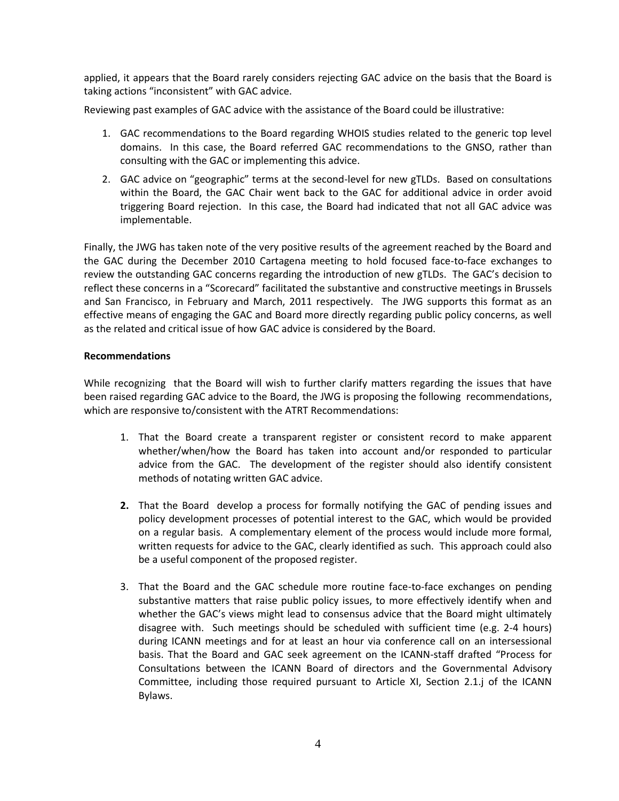applied, it appears that the Board rarely considers rejecting GAC advice on the basis that the Board is taking actions "inconsistent" with GAC advice.

Reviewing past examples of GAC advice with the assistance of the Board could be illustrative:

- 1. GAC recommendations to the Board regarding WHOIS studies related to the generic top level domains. In this case, the Board referred GAC recommendations to the GNSO, rather than consulting with the GAC or implementing this advice.
- 2. GAC advice on "geographic" terms at the second-level for new gTLDs. Based on consultations within the Board, the GAC Chair went back to the GAC for additional advice in order avoid triggering Board rejection. In this case, the Board had indicated that not all GAC advice was implementable.

Finally, the JWG has taken note of the very positive results of the agreement reached by the Board and the GAC during the December 2010 Cartagena meeting to hold focused face-to-face exchanges to review the outstanding GAC concerns regarding the introduction of new gTLDs. The GAC's decision to reflect these concerns in a "Scorecard" facilitated the substantive and constructive meetings in Brussels and San Francisco, in February and March, 2011 respectively. The JWG supports this format as an effective means of engaging the GAC and Board more directly regarding public policy concerns, as well as the related and critical issue of how GAC advice is considered by the Board.

## **Recommendations**

While recognizing that the Board will wish to further clarify matters regarding the issues that have been raised regarding GAC advice to the Board, the JWG is proposing the following recommendations, which are responsive to/consistent with the ATRT Recommendations:

- 1. That the Board create a transparent register or consistent record to make apparent whether/when/how the Board has taken into account and/or responded to particular advice from the GAC. The development of the register should also identify consistent methods of notating written GAC advice.
- **2.** That the Board develop a process for formally notifying the GAC of pending issues and policy development processes of potential interest to the GAC, which would be provided on a regular basis. A complementary element of the process would include more formal, written requests for advice to the GAC, clearly identified as such. This approach could also be a useful component of the proposed register.
- 3. That the Board and the GAC schedule more routine face-to-face exchanges on pending substantive matters that raise public policy issues, to more effectively identify when and whether the GAC's views might lead to consensus advice that the Board might ultimately disagree with. Such meetings should be scheduled with sufficient time (e.g. 2-4 hours) during ICANN meetings and for at least an hour via conference call on an intersessional basis. That the Board and GAC seek agreement on the ICANN-staff drafted "Process for Consultations between the ICANN Board of directors and the Governmental Advisory Committee, including those required pursuant to Article XI, Section 2.1.j of the ICANN Bylaws.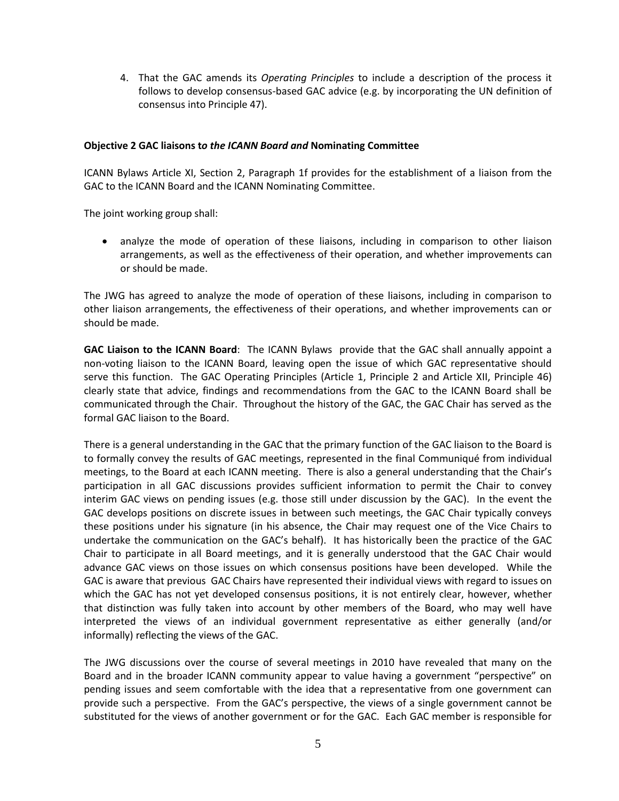4. That the GAC amends its *Operating Principles* to include a description of the process it follows to develop consensus-based GAC advice (e.g. by incorporating the UN definition of consensus into Principle 47).

### **Objective 2 GAC liaisons t***o the ICANN Board and* **Nominating Committee**

ICANN Bylaws Article XI, Section 2, Paragraph 1f provides for the establishment of a liaison from the GAC to the ICANN Board and the ICANN Nominating Committee.

The joint working group shall:

 analyze the mode of operation of these liaisons, including in comparison to other liaison arrangements, as well as the effectiveness of their operation, and whether improvements can or should be made.

The JWG has agreed to analyze the mode of operation of these liaisons, including in comparison to other liaison arrangements, the effectiveness of their operations, and whether improvements can or should be made.

**GAC Liaison to the ICANN Board**: The ICANN Bylaws provide that the GAC shall annually appoint a non-voting liaison to the ICANN Board, leaving open the issue of which GAC representative should serve this function. The GAC Operating Principles (Article 1, Principle 2 and Article XII, Principle 46) clearly state that advice, findings and recommendations from the GAC to the ICANN Board shall be communicated through the Chair. Throughout the history of the GAC, the GAC Chair has served as the formal GAC liaison to the Board.

There is a general understanding in the GAC that the primary function of the GAC liaison to the Board is to formally convey the results of GAC meetings, represented in the final Communiqué from individual meetings, to the Board at each ICANN meeting. There is also a general understanding that the Chair's participation in all GAC discussions provides sufficient information to permit the Chair to convey interim GAC views on pending issues (e.g. those still under discussion by the GAC). In the event the GAC develops positions on discrete issues in between such meetings, the GAC Chair typically conveys these positions under his signature (in his absence, the Chair may request one of the Vice Chairs to undertake the communication on the GAC's behalf). It has historically been the practice of the GAC Chair to participate in all Board meetings, and it is generally understood that the GAC Chair would advance GAC views on those issues on which consensus positions have been developed. While the GAC is aware that previous GAC Chairs have represented their individual views with regard to issues on which the GAC has not yet developed consensus positions, it is not entirely clear, however, whether that distinction was fully taken into account by other members of the Board, who may well have interpreted the views of an individual government representative as either generally (and/or informally) reflecting the views of the GAC.

The JWG discussions over the course of several meetings in 2010 have revealed that many on the Board and in the broader ICANN community appear to value having a government "perspective" on pending issues and seem comfortable with the idea that a representative from one government can provide such a perspective. From the GAC's perspective, the views of a single government cannot be substituted for the views of another government or for the GAC. Each GAC member is responsible for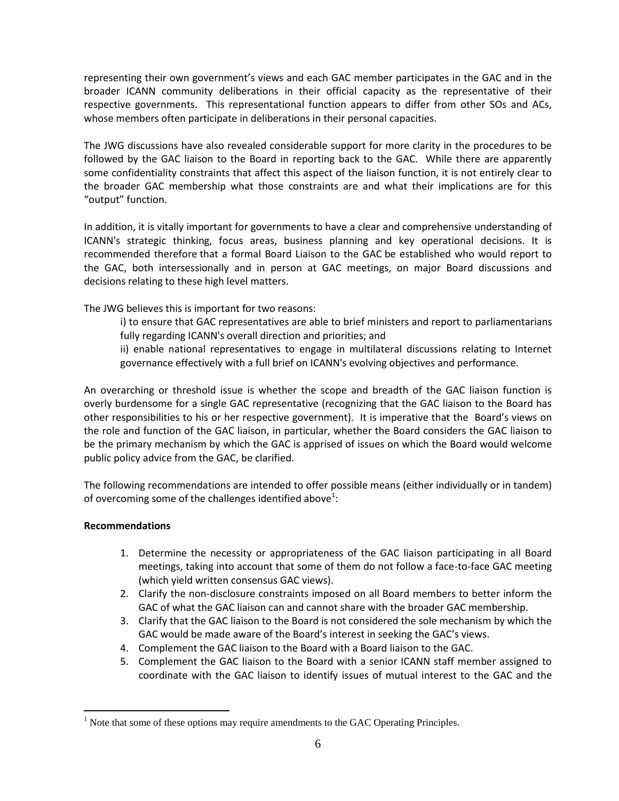representing their own government's views and each GAC member participates in the GAC and in the broader ICANN community deliberations in their official capacity as the representative of their respective governments. This representational function appears to differ from other SOs and ACs, whose members often participate in deliberations in their personal capacities.

The JWG discussions have also revealed considerable support for more clarity in the procedures to be followed by the GAC liaison to the Board in reporting back to the GAC. While there are apparently some confidentiality constraints that affect this aspect of the liaison function, it is not entirely clear to the broader GAC membership what those constraints are and what their implications are for this "output" function.

In addition, it is vitally important for governments to have a clear and comprehensive understanding of ICANN's strategic thinking, focus areas, business planning and key operational decisions. It is recommended therefore that a formal Board Liaison to the GAC be established who would report to the GAC, both intersessionally and in person at GAC meetings, on major Board discussions and decisions relating to these high level matters.

The JWG believes this is important for two reasons:

i) to ensure that GAC representatives are able to brief ministers and report to parliamentarians fully regarding ICANN's overall direction and priorities; and

ii) enable national representatives to engage in multilateral discussions relating to Internet governance effectively with a full brief on ICANN's evolving objectives and performance.

An overarching or threshold issue is whether the scope and breadth of the GAC liaison function is overly burdensome for a single GAC representative (recognizing that the GAC liaison to the Board has other responsibilities to his or her respective government). It is imperative that the Board's views on the role and function of the GAC liaison, in particular, whether the Board considers the GAC liaison to be the primary mechanism by which the GAC is apprised of issues on which the Board would welcome public policy advice from the GAC, be clarified.

The following recommendations are intended to offer possible means (either individually or in tandem) of overcoming some of the challenges identified above<sup>1</sup>:

## **Recommendations**

 $\overline{a}$ 

- 1. Determine the necessity or appropriateness of the GAC liaison participating in all Board meetings, taking into account that some of them do not follow a face-to-face GAC meeting (which yield written consensus GAC views).
- 2. Clarify the non-disclosure constraints imposed on all Board members to better inform the GAC of what the GAC liaison can and cannot share with the broader GAC membership.
- 3. Clarify that the GAC liaison to the Board is not considered the sole mechanism by which the GAC would be made aware of the Board's interest in seeking the GAC's views.
- 4. Complement the GAC liaison to the Board with a Board liaison to the GAC.
- 5. Complement the GAC liaison to the Board with a senior ICANN staff member assigned to coordinate with the GAC liaison to identify issues of mutual interest to the GAC and the

 $<sup>1</sup>$  Note that some of these options may require amendments to the GAC Operating Principles.</sup>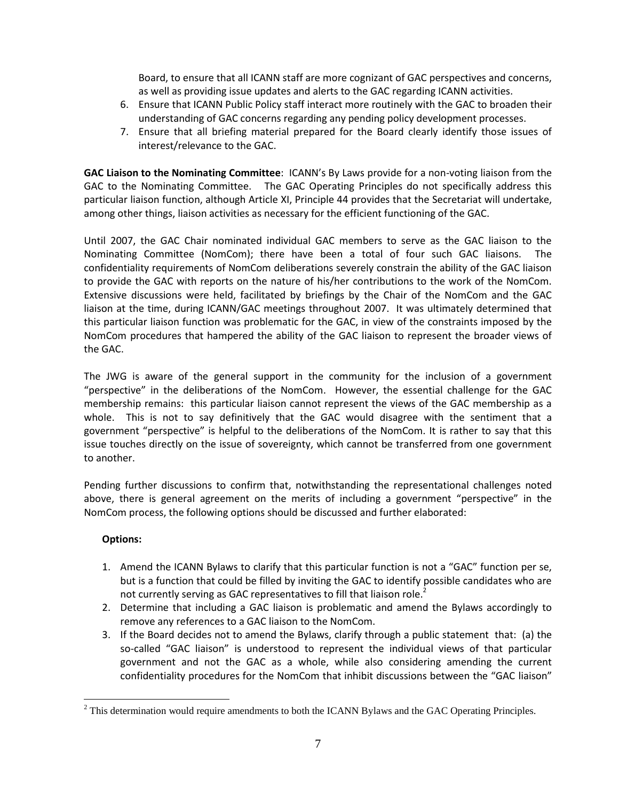Board, to ensure that all ICANN staff are more cognizant of GAC perspectives and concerns, as well as providing issue updates and alerts to the GAC regarding ICANN activities.

- 6. Ensure that ICANN Public Policy staff interact more routinely with the GAC to broaden their understanding of GAC concerns regarding any pending policy development processes.
- 7. Ensure that all briefing material prepared for the Board clearly identify those issues of interest/relevance to the GAC.

**GAC Liaison to the Nominating Committee**: ICANN's By Laws provide for a non-voting liaison from the GAC to the Nominating Committee. The GAC Operating Principles do not specifically address this particular liaison function, although Article XI, Principle 44 provides that the Secretariat will undertake, among other things, liaison activities as necessary for the efficient functioning of the GAC.

Until 2007, the GAC Chair nominated individual GAC members to serve as the GAC liaison to the Nominating Committee (NomCom); there have been a total of four such GAC liaisons. The confidentiality requirements of NomCom deliberations severely constrain the ability of the GAC liaison to provide the GAC with reports on the nature of his/her contributions to the work of the NomCom. Extensive discussions were held, facilitated by briefings by the Chair of the NomCom and the GAC liaison at the time, during ICANN/GAC meetings throughout 2007. It was ultimately determined that this particular liaison function was problematic for the GAC, in view of the constraints imposed by the NomCom procedures that hampered the ability of the GAC liaison to represent the broader views of the GAC.

The JWG is aware of the general support in the community for the inclusion of a government "perspective" in the deliberations of the NomCom. However, the essential challenge for the GAC membership remains: this particular liaison cannot represent the views of the GAC membership as a whole. This is not to say definitively that the GAC would disagree with the sentiment that a government "perspective" is helpful to the deliberations of the NomCom. It is rather to say that this issue touches directly on the issue of sovereignty, which cannot be transferred from one government to another.

Pending further discussions to confirm that, notwithstanding the representational challenges noted above, there is general agreement on the merits of including a government "perspective" in the NomCom process, the following options should be discussed and further elaborated:

# **Options:**

 $\overline{a}$ 

- 1. Amend the ICANN Bylaws to clarify that this particular function is not a "GAC" function per se, but is a function that could be filled by inviting the GAC to identify possible candidates who are not currently serving as GAC representatives to fill that liaison role.<sup>2</sup>
- 2. Determine that including a GAC liaison is problematic and amend the Bylaws accordingly to remove any references to a GAC liaison to the NomCom.
- 3. If the Board decides not to amend the Bylaws, clarify through a public statement that: (a) the so-called "GAC liaison" is understood to represent the individual views of that particular government and not the GAC as a whole, while also considering amending the current confidentiality procedures for the NomCom that inhibit discussions between the "GAC liaison"

<sup>&</sup>lt;sup>2</sup> This determination would require amendments to both the ICANN Bylaws and the GAC Operating Principles.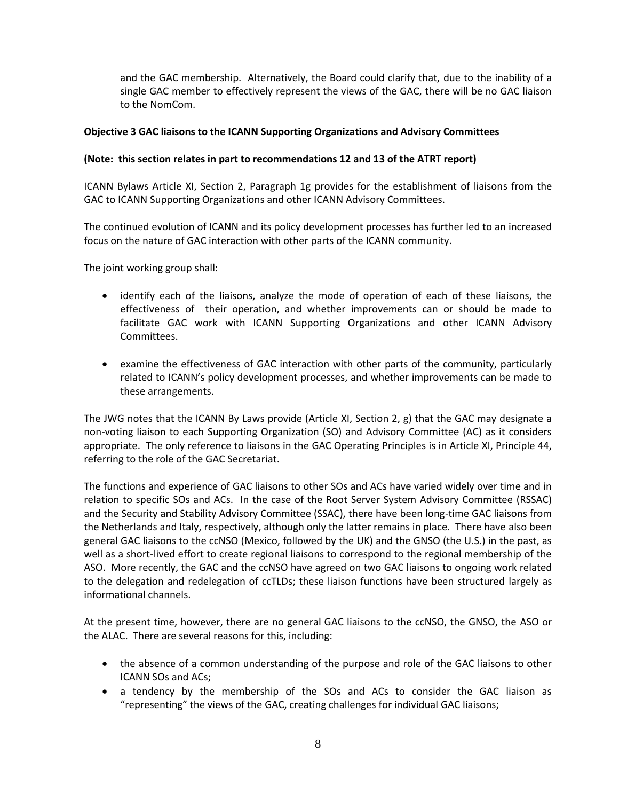and the GAC membership. Alternatively, the Board could clarify that, due to the inability of a single GAC member to effectively represent the views of the GAC, there will be no GAC liaison to the NomCom.

## **Objective 3 GAC liaisons to the ICANN Supporting Organizations and Advisory Committees**

## **(Note: this section relates in part to recommendations 12 and 13 of the ATRT report)**

ICANN Bylaws Article XI, Section 2, Paragraph 1g provides for the establishment of liaisons from the GAC to ICANN Supporting Organizations and other ICANN Advisory Committees.

The continued evolution of ICANN and its policy development processes has further led to an increased focus on the nature of GAC interaction with other parts of the ICANN community.

The joint working group shall:

- identify each of the liaisons, analyze the mode of operation of each of these liaisons, the effectiveness of their operation, and whether improvements can or should be made to facilitate GAC work with ICANN Supporting Organizations and other ICANN Advisory Committees.
- examine the effectiveness of GAC interaction with other parts of the community, particularly related to ICANN's policy development processes, and whether improvements can be made to these arrangements.

The JWG notes that the ICANN By Laws provide (Article XI, Section 2, g) that the GAC may designate a non-voting liaison to each Supporting Organization (SO) and Advisory Committee (AC) as it considers appropriate. The only reference to liaisons in the GAC Operating Principles is in Article XI, Principle 44, referring to the role of the GAC Secretariat.

The functions and experience of GAC liaisons to other SOs and ACs have varied widely over time and in relation to specific SOs and ACs. In the case of the Root Server System Advisory Committee (RSSAC) and the Security and Stability Advisory Committee (SSAC), there have been long-time GAC liaisons from the Netherlands and Italy, respectively, although only the latter remains in place. There have also been general GAC liaisons to the ccNSO (Mexico, followed by the UK) and the GNSO (the U.S.) in the past, as well as a short-lived effort to create regional liaisons to correspond to the regional membership of the ASO. More recently, the GAC and the ccNSO have agreed on two GAC liaisons to ongoing work related to the delegation and redelegation of ccTLDs; these liaison functions have been structured largely as informational channels.

At the present time, however, there are no general GAC liaisons to the ccNSO, the GNSO, the ASO or the ALAC. There are several reasons for this, including:

- the absence of a common understanding of the purpose and role of the GAC liaisons to other ICANN SOs and ACs;
- a tendency by the membership of the SOs and ACs to consider the GAC liaison as "representing" the views of the GAC, creating challenges for individual GAC liaisons;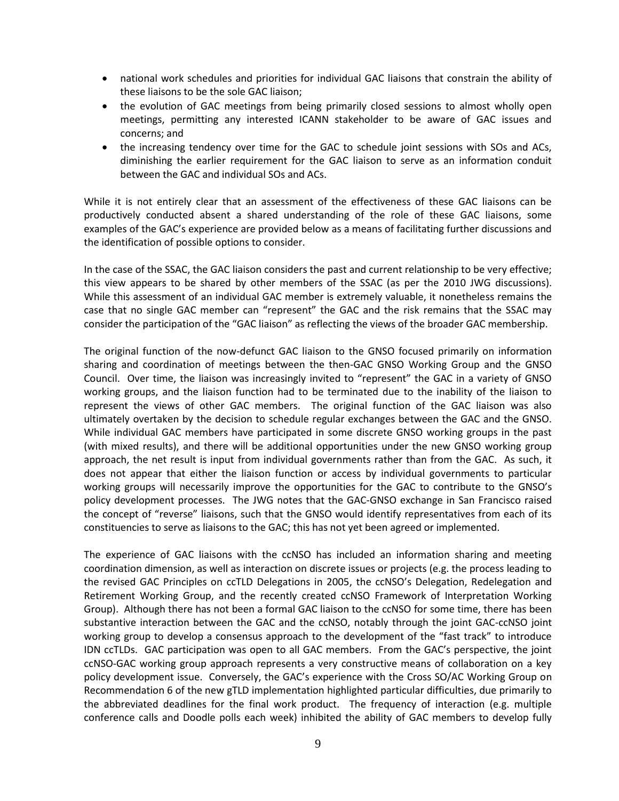- national work schedules and priorities for individual GAC liaisons that constrain the ability of these liaisons to be the sole GAC liaison;
- the evolution of GAC meetings from being primarily closed sessions to almost wholly open meetings, permitting any interested ICANN stakeholder to be aware of GAC issues and concerns; and
- the increasing tendency over time for the GAC to schedule joint sessions with SOs and ACs, diminishing the earlier requirement for the GAC liaison to serve as an information conduit between the GAC and individual SOs and ACs.

While it is not entirely clear that an assessment of the effectiveness of these GAC liaisons can be productively conducted absent a shared understanding of the role of these GAC liaisons, some examples of the GAC's experience are provided below as a means of facilitating further discussions and the identification of possible options to consider.

In the case of the SSAC, the GAC liaison considers the past and current relationship to be very effective; this view appears to be shared by other members of the SSAC (as per the 2010 JWG discussions). While this assessment of an individual GAC member is extremely valuable, it nonetheless remains the case that no single GAC member can "represent" the GAC and the risk remains that the SSAC may consider the participation of the "GAC liaison" as reflecting the views of the broader GAC membership.

The original function of the now-defunct GAC liaison to the GNSO focused primarily on information sharing and coordination of meetings between the then-GAC GNSO Working Group and the GNSO Council. Over time, the liaison was increasingly invited to "represent" the GAC in a variety of GNSO working groups, and the liaison function had to be terminated due to the inability of the liaison to represent the views of other GAC members. The original function of the GAC liaison was also ultimately overtaken by the decision to schedule regular exchanges between the GAC and the GNSO. While individual GAC members have participated in some discrete GNSO working groups in the past (with mixed results), and there will be additional opportunities under the new GNSO working group approach, the net result is input from individual governments rather than from the GAC. As such, it does not appear that either the liaison function or access by individual governments to particular working groups will necessarily improve the opportunities for the GAC to contribute to the GNSO's policy development processes. The JWG notes that the GAC-GNSO exchange in San Francisco raised the concept of "reverse" liaisons, such that the GNSO would identify representatives from each of its constituencies to serve as liaisons to the GAC; this has not yet been agreed or implemented.

The experience of GAC liaisons with the ccNSO has included an information sharing and meeting coordination dimension, as well as interaction on discrete issues or projects (e.g. the process leading to the revised GAC Principles on ccTLD Delegations in 2005, the ccNSO's Delegation, Redelegation and Retirement Working Group, and the recently created ccNSO Framework of Interpretation Working Group). Although there has not been a formal GAC liaison to the ccNSO for some time, there has been substantive interaction between the GAC and the ccNSO, notably through the joint GAC-ccNSO joint working group to develop a consensus approach to the development of the "fast track" to introduce IDN ccTLDs. GAC participation was open to all GAC members. From the GAC's perspective, the joint ccNSO-GAC working group approach represents a very constructive means of collaboration on a key policy development issue. Conversely, the GAC's experience with the Cross SO/AC Working Group on Recommendation 6 of the new gTLD implementation highlighted particular difficulties, due primarily to the abbreviated deadlines for the final work product. The frequency of interaction (e.g. multiple conference calls and Doodle polls each week) inhibited the ability of GAC members to develop fully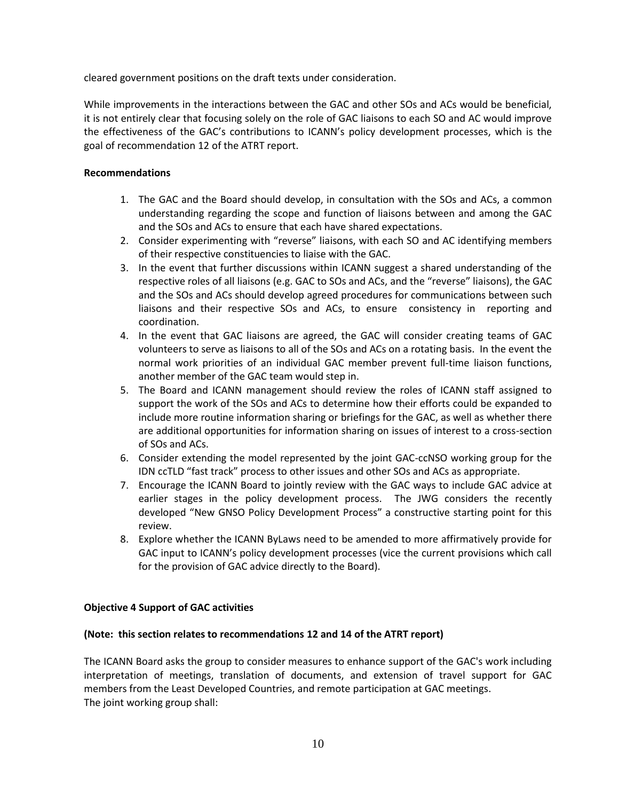cleared government positions on the draft texts under consideration.

While improvements in the interactions between the GAC and other SOs and ACs would be beneficial, it is not entirely clear that focusing solely on the role of GAC liaisons to each SO and AC would improve the effectiveness of the GAC's contributions to ICANN's policy development processes, which is the goal of recommendation 12 of the ATRT report.

## **Recommendations**

- 1. The GAC and the Board should develop, in consultation with the SOs and ACs, a common understanding regarding the scope and function of liaisons between and among the GAC and the SOs and ACs to ensure that each have shared expectations.
- 2. Consider experimenting with "reverse" liaisons, with each SO and AC identifying members of their respective constituencies to liaise with the GAC.
- 3. In the event that further discussions within ICANN suggest a shared understanding of the respective roles of all liaisons (e.g. GAC to SOs and ACs, and the "reverse" liaisons), the GAC and the SOs and ACs should develop agreed procedures for communications between such liaisons and their respective SOs and ACs, to ensure consistency in reporting and coordination.
- 4. In the event that GAC liaisons are agreed, the GAC will consider creating teams of GAC volunteers to serve as liaisons to all of the SOs and ACs on a rotating basis. In the event the normal work priorities of an individual GAC member prevent full-time liaison functions, another member of the GAC team would step in.
- 5. The Board and ICANN management should review the roles of ICANN staff assigned to support the work of the SOs and ACs to determine how their efforts could be expanded to include more routine information sharing or briefings for the GAC, as well as whether there are additional opportunities for information sharing on issues of interest to a cross-section of SOs and ACs.
- 6. Consider extending the model represented by the joint GAC-ccNSO working group for the IDN ccTLD "fast track" process to other issues and other SOs and ACs as appropriate.
- 7. Encourage the ICANN Board to jointly review with the GAC ways to include GAC advice at earlier stages in the policy development process. The JWG considers the recently developed "New GNSO Policy Development Process" a constructive starting point for this review.
- 8. Explore whether the ICANN ByLaws need to be amended to more affirmatively provide for GAC input to ICANN's policy development processes (vice the current provisions which call for the provision of GAC advice directly to the Board).

## **Objective 4 Support of GAC activities**

## **(Note: this section relates to recommendations 12 and 14 of the ATRT report)**

The ICANN Board asks the group to consider measures to enhance support of the GAC's work including interpretation of meetings, translation of documents, and extension of travel support for GAC members from the Least Developed Countries, and remote participation at GAC meetings. The joint working group shall: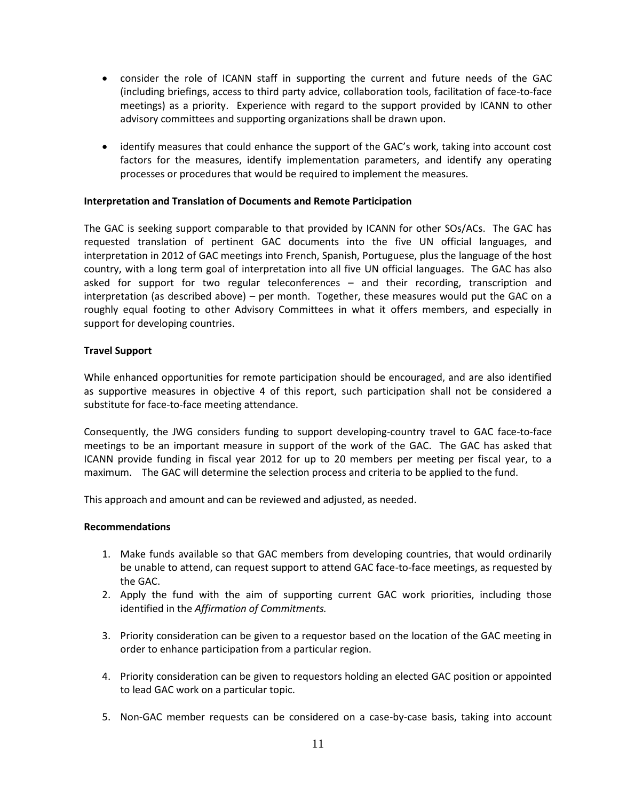- consider the role of ICANN staff in supporting the current and future needs of the GAC (including briefings, access to third party advice, collaboration tools, facilitation of face-to-face meetings) as a priority. Experience with regard to the support provided by ICANN to other advisory committees and supporting organizations shall be drawn upon.
- identify measures that could enhance the support of the GAC's work, taking into account cost factors for the measures, identify implementation parameters, and identify any operating processes or procedures that would be required to implement the measures.

### **Interpretation and Translation of Documents and Remote Participation**

The GAC is seeking support comparable to that provided by ICANN for other SOs/ACs. The GAC has requested translation of pertinent GAC documents into the five UN official languages, and interpretation in 2012 of GAC meetings into French, Spanish, Portuguese, plus the language of the host country, with a long term goal of interpretation into all five UN official languages. The GAC has also asked for support for two regular teleconferences – and their recording, transcription and interpretation (as described above) – per month. Together, these measures would put the GAC on a roughly equal footing to other Advisory Committees in what it offers members, and especially in support for developing countries.

### **Travel Support**

While enhanced opportunities for remote participation should be encouraged, and are also identified as supportive measures in objective 4 of this report, such participation shall not be considered a substitute for face-to-face meeting attendance.

Consequently, the JWG considers funding to support developing-country travel to GAC face-to-face meetings to be an important measure in support of the work of the GAC. The GAC has asked that ICANN provide funding in fiscal year 2012 for up to 20 members per meeting per fiscal year, to a maximum. The GAC will determine the selection process and criteria to be applied to the fund.

This approach and amount and can be reviewed and adjusted, as needed.

### **Recommendations**

- 1. Make funds available so that GAC members from developing countries, that would ordinarily be unable to attend, can request support to attend GAC face-to-face meetings, as requested by the GAC.
- 2. Apply the fund with the aim of supporting current GAC work priorities, including those identified in the *Affirmation of Commitments.*
- 3. Priority consideration can be given to a requestor based on the location of the GAC meeting in order to enhance participation from a particular region.
- 4. Priority consideration can be given to requestors holding an elected GAC position or appointed to lead GAC work on a particular topic.
- 5. Non-GAC member requests can be considered on a case-by-case basis, taking into account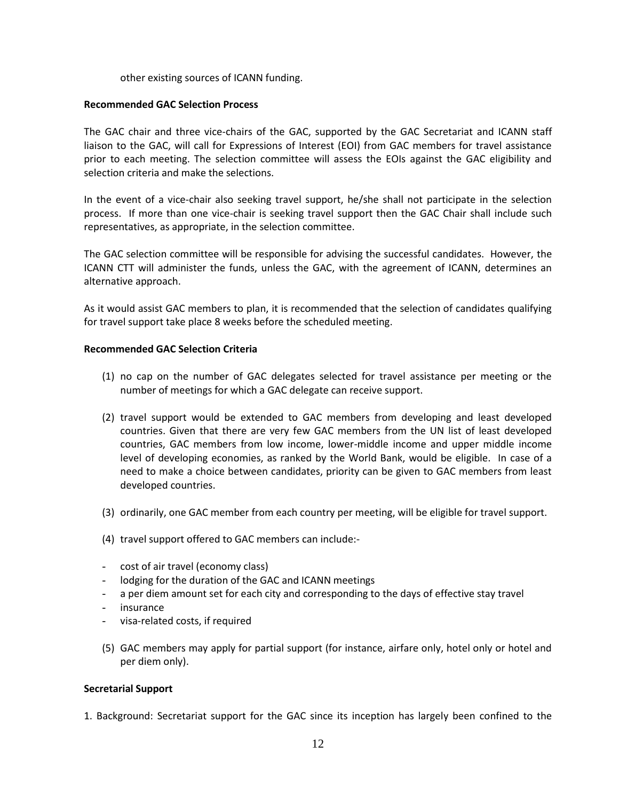### other existing sources of ICANN funding.

### **Recommended GAC Selection Process**

The GAC chair and three vice-chairs of the GAC, supported by the GAC Secretariat and ICANN staff liaison to the GAC, will call for Expressions of Interest (EOI) from GAC members for travel assistance prior to each meeting. The selection committee will assess the EOIs against the GAC eligibility and selection criteria and make the selections.

In the event of a vice-chair also seeking travel support, he/she shall not participate in the selection process. If more than one vice-chair is seeking travel support then the GAC Chair shall include such representatives, as appropriate, in the selection committee.

The GAC selection committee will be responsible for advising the successful candidates. However, the ICANN CTT will administer the funds, unless the GAC, with the agreement of ICANN, determines an alternative approach.

As it would assist GAC members to plan, it is recommended that the selection of candidates qualifying for travel support take place 8 weeks before the scheduled meeting.

### **Recommended GAC Selection Criteria**

- (1) no cap on the number of GAC delegates selected for travel assistance per meeting or the number of meetings for which a GAC delegate can receive support.
- (2) travel support would be extended to GAC members from developing and least developed countries. Given that there are very few GAC members from the UN list of least developed countries, GAC members from low income, lower-middle income and upper middle income level of developing economies, as ranked by the World Bank, would be eligible. In case of a need to make a choice between candidates, priority can be given to GAC members from least developed countries.
- (3) ordinarily, one GAC member from each country per meeting, will be eligible for travel support.
- (4) travel support offered to GAC members can include:-
- cost of air travel (economy class)
- lodging for the duration of the GAC and ICANN meetings
- a per diem amount set for each city and corresponding to the days of effective stay travel
- insurance
- visa-related costs, if required
- (5) GAC members may apply for partial support (for instance, airfare only, hotel only or hotel and per diem only).

### **Secretarial Support**

1. Background: Secretariat support for the GAC since its inception has largely been confined to the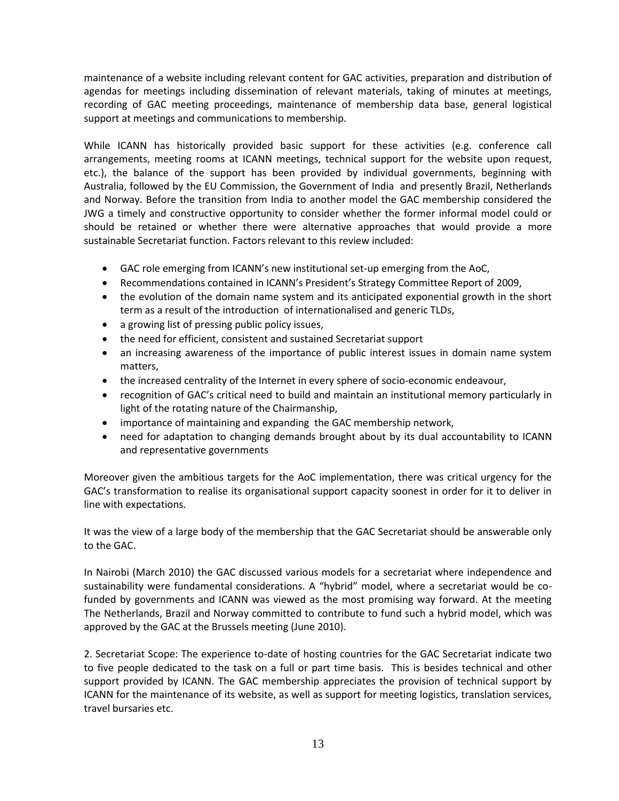maintenance of a website including relevant content for GAC activities, preparation and distribution of agendas for meetings including dissemination of relevant materials, taking of minutes at meetings, recording of GAC meeting proceedings, maintenance of membership data base, general logistical support at meetings and communications to membership.

While ICANN has historically provided basic support for these activities (e.g. conference call arrangements, meeting rooms at ICANN meetings, technical support for the website upon request, etc.), the balance of the support has been provided by individual governments, beginning with Australia, followed by the EU Commission, the Government of India and presently Brazil, Netherlands and Norway. Before the transition from India to another model the GAC membership considered the JWG a timely and constructive opportunity to consider whether the former informal model could or should be retained or whether there were alternative approaches that would provide a more sustainable Secretariat function. Factors relevant to this review included:

- GAC role emerging from ICANN's new institutional set-up emerging from the AoC,
- Recommendations contained in ICANN's President's Strategy Committee Report of 2009,
- the evolution of the domain name system and its anticipated exponential growth in the short term as a result of the introduction of internationalised and generic TLDs,
- a growing list of pressing public policy issues,
- the need for efficient, consistent and sustained Secretariat support
- an increasing awareness of the importance of public interest issues in domain name system matters,
- the increased centrality of the Internet in every sphere of socio-economic endeavour,
- recognition of GAC's critical need to build and maintain an institutional memory particularly in light of the rotating nature of the Chairmanship,
- importance of maintaining and expanding the GAC membership network,
- need for adaptation to changing demands brought about by its dual accountability to ICANN and representative governments

Moreover given the ambitious targets for the AoC implementation, there was critical urgency for the GAC's transformation to realise its organisational support capacity soonest in order for it to deliver in line with expectations.

It was the view of a large body of the membership that the GAC Secretariat should be answerable only to the GAC.

In Nairobi (March 2010) the GAC discussed various models for a secretariat where independence and sustainability were fundamental considerations. A "hybrid" model, where a secretariat would be cofunded by governments and ICANN was viewed as the most promising way forward. At the meeting The Netherlands, Brazil and Norway committed to contribute to fund such a hybrid model, which was approved by the GAC at the Brussels meeting (June 2010).

2. Secretariat Scope: The experience to-date of hosting countries for the GAC Secretariat indicate two to five people dedicated to the task on a full or part time basis. This is besides technical and other support provided by ICANN. The GAC membership appreciates the provision of technical support by ICANN for the maintenance of its website, as well as support for meeting logistics, translation services, travel bursaries etc.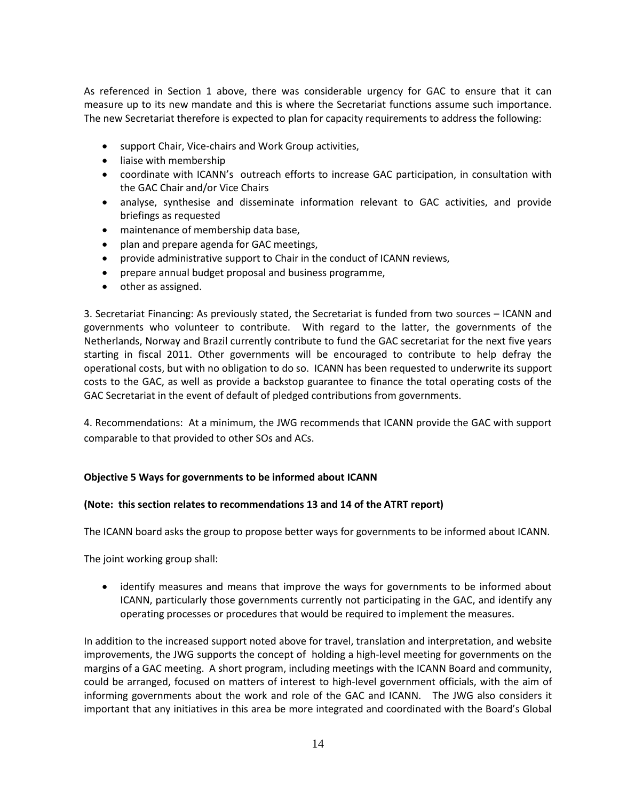As referenced in Section 1 above, there was considerable urgency for GAC to ensure that it can measure up to its new mandate and this is where the Secretariat functions assume such importance. The new Secretariat therefore is expected to plan for capacity requirements to address the following:

- support Chair, Vice-chairs and Work Group activities,
- liaise with membership
- coordinate with ICANN's outreach efforts to increase GAC participation, in consultation with the GAC Chair and/or Vice Chairs
- analyse, synthesise and disseminate information relevant to GAC activities, and provide briefings as requested
- maintenance of membership data base,
- plan and prepare agenda for GAC meetings,
- provide administrative support to Chair in the conduct of ICANN reviews,
- prepare annual budget proposal and business programme,
- other as assigned.

3. Secretariat Financing: As previously stated, the Secretariat is funded from two sources – ICANN and governments who volunteer to contribute. With regard to the latter, the governments of the Netherlands, Norway and Brazil currently contribute to fund the GAC secretariat for the next five years starting in fiscal 2011. Other governments will be encouraged to contribute to help defray the operational costs, but with no obligation to do so. ICANN has been requested to underwrite its support costs to the GAC, as well as provide a backstop guarantee to finance the total operating costs of the GAC Secretariat in the event of default of pledged contributions from governments.

4. Recommendations: At a minimum, the JWG recommends that ICANN provide the GAC with support comparable to that provided to other SOs and ACs.

## **Objective 5 Ways for governments to be informed about ICANN**

## **(Note: this section relates to recommendations 13 and 14 of the ATRT report)**

The ICANN board asks the group to propose better ways for governments to be informed about ICANN.

The joint working group shall:

 identify measures and means that improve the ways for governments to be informed about ICANN, particularly those governments currently not participating in the GAC, and identify any operating processes or procedures that would be required to implement the measures.

In addition to the increased support noted above for travel, translation and interpretation, and website improvements, the JWG supports the concept of holding a high-level meeting for governments on the margins of a GAC meeting. A short program, including meetings with the ICANN Board and community, could be arranged, focused on matters of interest to high-level government officials, with the aim of informing governments about the work and role of the GAC and ICANN. The JWG also considers it important that any initiatives in this area be more integrated and coordinated with the Board's Global